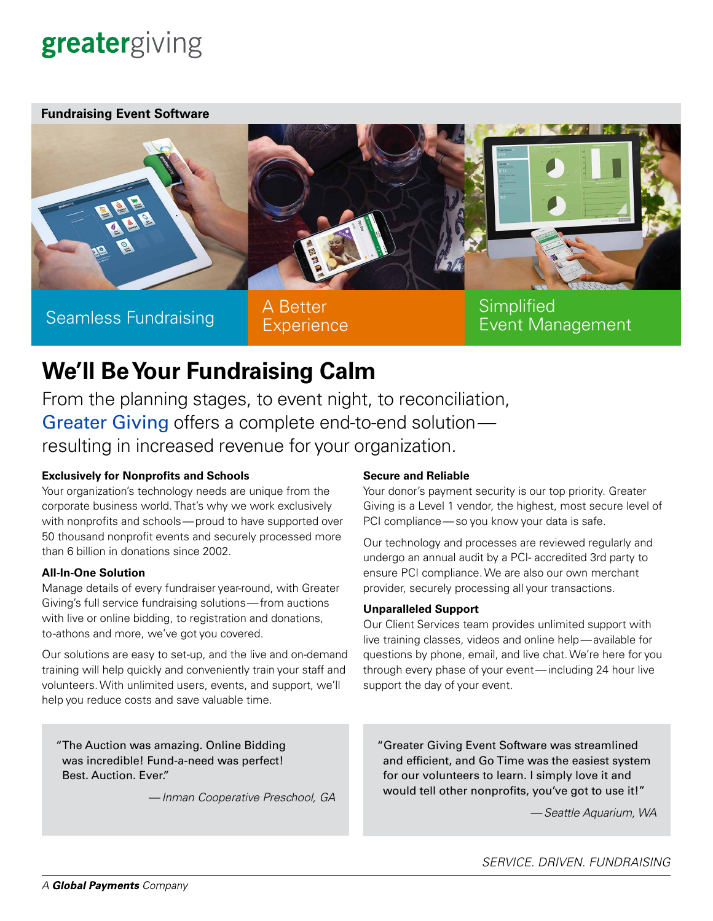# greatergiving

**Fundraising Event Software**



Seamless Fundraising A Better

**Experience** 

**Simplified** Event Management

## **We'll Be Your Fundraising Calm**

From the planning stages, to event night, to reconciliation, [Greater Giving](https://www.greatergiving.com/) offers a complete end-to-end solution resulting in increased revenue for your organization.

### **Exclusively for Nonprofits and Schools**

Your organization's technology needs are unique from the corporate business world. That's why we work exclusively with nonprofits and schools—proud to have supported over 50 thousand nonprofit events and securely processed more than 6 billion in donations since 2002.

#### **All-In-One Solution**

Manage details of every fundraiser year-round, with Greater Giving's full service fundraising solutions—from auctions with live or online bidding, to registration and donations, to -athons and more, we've got you covered.

Our solutions are easy to set-up, and the live and on-demand training will help quickly and conveniently train your staff and volunteers. With unlimited users, events, and support, we'll help you reduce costs and save valuable time.

#### "The Auction was amazing. Online Bidding was incredible! Fund-a-need was perfect! Best. Auction. Ever."

—*Inman Cooperative Preschool, GA*

#### **Secure and Reliable**

Your donor's payment security is our top priority. Greater Giving is a Level 1 vendor, the highest, most secure level of PCI compliance—so you know your data is safe.

Our technology and processes are reviewed regularly and undergo an annual audit by a PCI- accredited 3rd party to ensure PCI compliance. We are also our own merchant provider, securely processing all your transactions.

#### **Unparalleled Support**

Our Client Services team provides unlimited support with live training classes, videos and online help—available for questions by phone, email, and live chat. We're here for you through every phase of your event—including 24 hour live support the day of your event.

"Greater Giving Event Software was streamlined and efficient, and Go Time was the easiest system for our volunteers to learn. I simply love it and would tell other nonprofits, you've got to use it!"

—*Seattle Aquarium, WA*